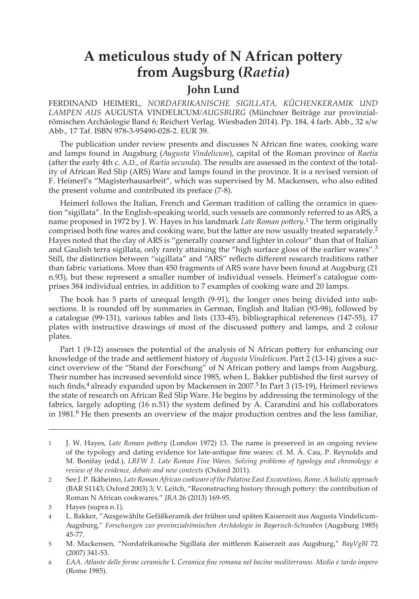## **A meticulous study of N African pottery from Augsburg (***Raetia***)**

## **John Lund**

FERDINAND HEIMERL, *NORDAFRIKANISCHE SIGILLATA, KÜCHENKERAMIK UND LAMPEN AUS* AUGUSTA VINDELICUM*/AUGSBURG* (Münchner Beiträge zur provinzialrömischen Archäologie Band 6; Reichert Verlag. Wiesbaden 2014). Pp. 184, 4 farb. Abb., 32 s/w Abb., 17 Taf. ISBN 978-3-95490-028-2. EUR 39.

The publication under review presents and discusses N African fine wares, cooking ware and lamps found in Augsburg (*Augusta Vindelicum*), capital of the Roman province of *Raetia*  (after the early 4th c. A.D., of *Raetia secunda*). The results are assessed in the context of the totality of African Red Slip (ARS) Ware and lamps found in the province. It is a revised version of F. Heimerl's "Magisterhausarbeit", which was supervised by M. Mackensen, who also edited the present volume and contributed its preface (7-8).

Heimerl follows the Italian, French and German tradition of calling the ceramics in question "sigillata". In the English-speaking world, such vessels are commonly referred to as ARS, a name proposed in 1972 by J. W. Hayes in his landmark *Late Roman pottery*. 1 The term originally comprised both fine wares and cooking ware, but the latter are now usually treated separately.<sup>2</sup> Hayes noted that the clay of ARS is "generally coarser and lighter in colour" than that of Italian and Gaulish terra sigillata, only rarely attaining the "high surface gloss of the earlier wares".<sup>3</sup> Still, the distinction between "sigillata" and "ARS" reflects different research traditions rather than fabric variations. More than 450 fragments of ARS ware have been found at Augsburg (21 n.93), but these represent a smaller number of individual vessels. Heimerl's catalogue comprises 384 individual entries, in addition to 7 examples of cooking ware and 20 lamps.

The book has 5 parts of unequal length (9-91), the longer ones being divided into subsections. It is rounded off by summaries in German, English and Italian (93-98), followed by a catalogue (99-131), various tables and lists (133-45), bibliographical references (147-55), 17 plates with instructive drawings of most of the discussed pottery and lamps, and 2 colour plates.

Part 1 (9-12) assesses the potential of the analysis of N African pottery for enhancing our knowledge of the trade and settlement history of *Augusta Vindelicum*. Part 2 (13-14) gives a succinct overview of the "Stand der Forschung" of N African pottery and lamps from Augsburg. Their number has increased sevenfold since 1985, when L. Bakker published the first survey of such finds,<sup>4</sup> already expanded upon by Mackensen in 2007.<sup>5</sup> In Part 3 (15-19), Heimerl reviews the state of research on African Red Slip Ware. He begins by addressing the terminology of the fabrics, largely adopting (16 n.51) the system defined by A. Carandini and his collaborators in 1981.<sup>6</sup> He then presents an overview of the major production centres and the less familiar,

<sup>1</sup> J. W. Hayes, *Late Roman pottery* (London 1972) 13. The name is preserved in an ongoing review of the typology and dating evidence for late-antique fine wares: cf. M. Á. Cau, P. Reynolds and M. Bonifay (edd.), *LRFW 1. Late Roman Fine Wares. Solving problems of typology and chronology: a review of the evidence, debate and new contexts* (Oxford 2011).

<sup>2</sup> See J. P. Ikäheimo, *Late Roman African cookware of the Palatine East Excavations, Rome. A holistic approach* (BAR S1143; Oxford 2003) 3; V. Leitch, "Reconstructing history through pottery: the contribution of Roman N African cookwares," *JRA* 26 (2013) 169-95.

<sup>3</sup> Hayes (supra n.1).

<sup>4</sup> L. Bakker, "Ausgewählte Gefäßkeramik der frühen und späten Kaiserzeit aus Augusta Vindelicum-Augsburg," *Forschungen zur provinzialrömischen Archäologie in Bayerisch-Schwaben* (Augsburg 1985) 45-77.

<sup>5</sup> M. Mackensen, "Nordafrikanische Sigillata der mittleren Kaiserzeit aus Augsburg," *BayVgBl* 72 (2007) 341-53.

<sup>6</sup> *EAA. Atlante delle forme ceramiche* I. *Ceramica fine romana nel bacino mediterraneo. Medio e tardo impero* (Rome 1985).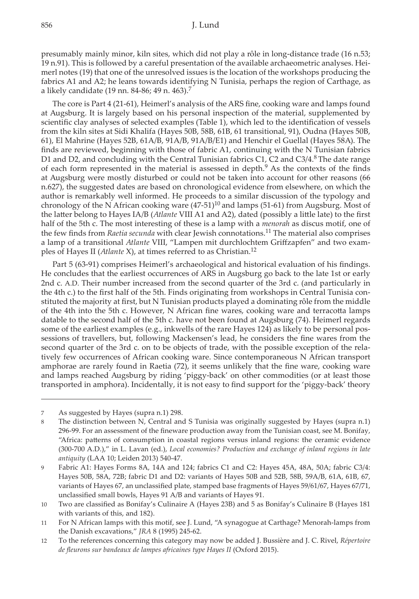presumably mainly minor, kiln sites, which did not play a rôle in long-distance trade (16 n.53; 19 n.91). This is followed by a careful presentation of the available archaeometric analyses. Heimerl notes (19) that one of the unresolved issues is the location of the workshops producing the fabrics A1 and A2; he leans towards identifying N Tunisia, perhaps the region of Carthage, as a likely candidate (19 nn. 84-86; 49 n. 463).<sup>7</sup>

The core is Part 4 (21-61), Heimerl's analysis of the ARS fine, cooking ware and lamps found at Augsburg. It is largely based on his personal inspection of the material, supplemented by scientific clay analyses of selected examples (Table 1), which led to the identification of vessels from the kiln sites at Sidi Khalifa (Hayes 50B, 58B, 61B, 61 transitional, 91), Oudna (Hayes 50B, 61), El Mahrine (Hayes 52B, 61A/B, 91A/B, 91A/B/E1) and Henchir el Guellal (Hayes 58A). The finds are reviewed, beginning with those of fabric A1, continuing with the N Tunisian fabrics D1 and D2, and concluding with the Central Tunisian fabrics C1, C2 and C3/4.<sup>8</sup> The date range of each form represented in the material is assessed in depth.9 As the contexts of the finds at Augsburg were mostly disturbed or could not be taken into account for other reasons (66 n.627), the suggested dates are based on chronological evidence from elsewhere, on which the author is remarkably well informed. He proceeds to a similar discussion of the typology and chronology of the N African cooking ware  $(47-51)^{10}$  and lamps (51-61) from Augsburg. Most of the latter belong to Hayes IA/B (*Atlante* VIII A1 and A2), dated (possibly a little late) to the first half of the 5th c. The most interesting of these is a lamp with a *menorah* as discus motif, one of the few finds from *Raetia secunda* with clear Jewish connotations.11 The material also comprises a lamp of a transitional *Atlante* VIII, "Lampen mit durchlochtem Griffzapfen" and two examples of Hayes II (*Atlante* X), at times referred to as Christian.<sup>12</sup>

Part 5 (63-91) comprises Heimerl's archaeological and historical evaluation of his findings. He concludes that the earliest occurrences of ARS in Augsburg go back to the late 1st or early 2nd c. A.D. Their number increased from the second quarter of the 3rd c. (and particularly in the 4th c.) to the first half of the 5th. Finds originating from workshops in Central Tunisia constituted the majority at first, but N Tunisian products played a dominating rôle from the middle of the 4th into the 5th c. However, N African fine wares, cooking ware and terracotta lamps datable to the second half of the 5th c. have not been found at Augsburg (74). Heimerl regards some of the earliest examples (e.g., inkwells of the rare Hayes 124) as likely to be personal possessions of travellers, but, following Mackensen's lead, he considers the fine wares from the second quarter of the 3rd c. on to be objects of trade, with the possible exception of the relatively few occurrences of African cooking ware. Since contemporaneous N African transport amphorae are rarely found in Raetia (72), it seems unlikely that the fine ware, cooking ware and lamps reached Augsburg by riding 'piggy-back' on other commodities (or at least those transported in amphora). Incidentally, it is not easy to find support for the 'piggy-back' theory

<sup>7</sup> As suggested by Hayes (supra n.1) 298.

<sup>8</sup> The distinction between N, Central and S Tunisia was originally suggested by Hayes (supra n.1) 296-99. For an assessment of the fineware production away from the Tunisian coast, see M. Bonifay, "Africa: patterns of consumption in coastal regions versus inland regions: the ceramic evidence (300-700 A.D.)," in L. Lavan (ed.), *Local economies? Production and exchange of inland regions in late antiquity* (LAA 10; Leiden 2013) 540-47.

<sup>9</sup> Fabric A1: Hayes Forms 8A, 14A and 124; fabrics C1 and C2: Hayes 45A, 48A, 50A; fabric C3/4: Hayes 50B, 58A, 72B; fabric D1 and D2: variants of Hayes 50B and 52B, 58B, 59A/B, 61A, 61B, 67, variants of Hayes 67, an unclassified plate, stamped base fragments of Hayes 59/61/67, Hayes 67/71, unclassified small bowls, Hayes 91 A/B and variants of Hayes 91.

<sup>10</sup> Two are classified as Bonifay's Culinaire A (Hayes 23B) and 5 as Bonifay's Culinaire B (Hayes 181 with variants of this, and 182).

<sup>11</sup> For N African lamps with this motif, see J. Lund, "A synagogue at Carthage? Menorah-lamps from the Danish excavations," *JRA* 8 (1995) 245-62.

<sup>12</sup> To the references concerning this category may now be added J. Bussière and J. C. Rivel, *Répertoire de fleurons sur bandeaux de lampes africaines type Hayes II* (Oxford 2015).